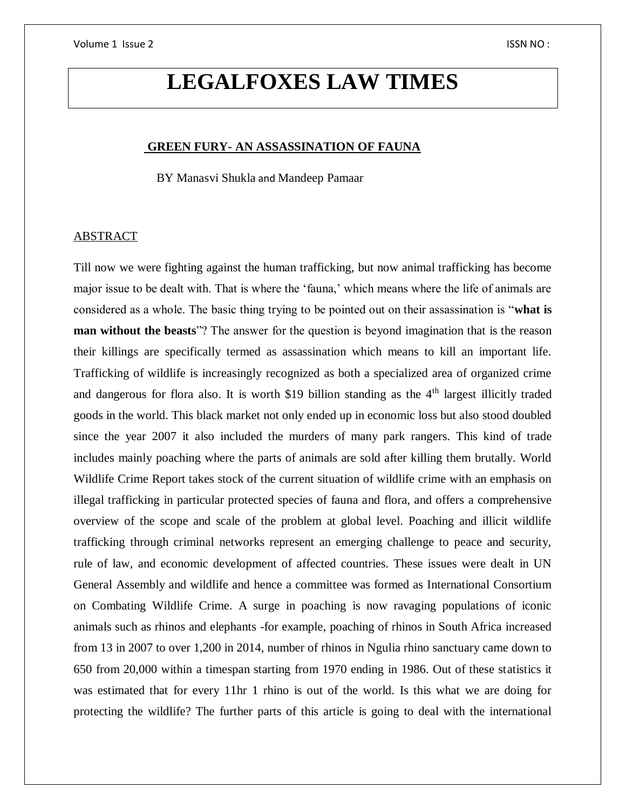# **LEGALFOXES LAW TIMES**

#### **GREEN FURY- AN ASSASSINATION OF FAUNA**

BY Manasvi Shukla and Mandeep Pamaar

# ABSTRACT

Till now we were fighting against the human trafficking, but now animal trafficking has become major issue to be dealt with. That is where the 'fauna,' which means where the life of animals are considered as a whole. The basic thing trying to be pointed out on their assassination is "**what is man without the beasts**"? The answer for the question is beyond imagination that is the reason their killings are specifically termed as assassination which means to kill an important life. Trafficking of wildlife is increasingly recognized as both a specialized area of organized crime and dangerous for flora also. It is worth \$19 billion standing as the 4<sup>th</sup> largest illicitly traded goods in the world. This black market not only ended up in economic loss but also stood doubled since the year 2007 it also included the murders of many park rangers. This kind of trade includes mainly poaching where the parts of animals are sold after killing them brutally. World Wildlife Crime Report takes stock of the current situation of wildlife crime with an emphasis on illegal trafficking in particular protected species of fauna and flora, and offers a comprehensive overview of the scope and scale of the problem at global level. Poaching and illicit wildlife trafficking through criminal networks represent an emerging challenge to peace and security, rule of law, and economic development of affected countries. These issues were dealt in UN General Assembly and wildlife and hence a committee was formed as International Consortium on Combating Wildlife Crime. A surge in poaching is now ravaging populations of iconic animals such as rhinos and elephants -for example, poaching of rhinos in South Africa increased from 13 in 2007 to over 1,200 in 2014, number of rhinos in Ngulia rhino sanctuary came down to 650 from 20,000 within a timespan starting from 1970 ending in 1986. Out of these statistics it was estimated that for every 11hr 1 rhino is out of the world. Is this what we are doing for protecting the wildlife? The further parts of this article is going to deal with the international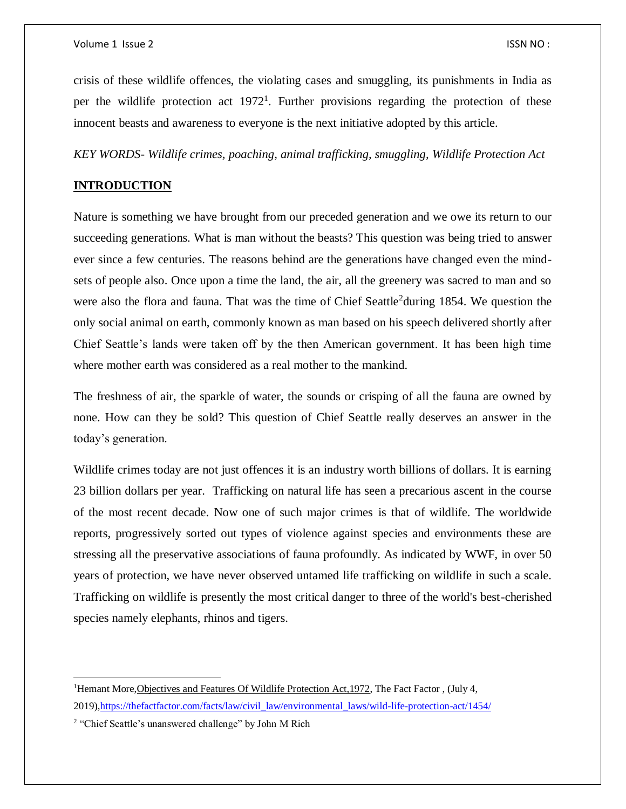crisis of these wildlife offences, the violating cases and smuggling, its punishments in India as per the wildlife protection act  $1972<sup>1</sup>$ . Further provisions regarding the protection of these innocent beasts and awareness to everyone is the next initiative adopted by this article.

*KEY WORDS- Wildlife crimes, poaching, animal trafficking, smuggling, Wildlife Protection Act*

# **INTRODUCTION**

Nature is something we have brought from our preceded generation and we owe its return to our succeeding generations. What is man without the beasts? This question was being tried to answer ever since a few centuries. The reasons behind are the generations have changed even the mindsets of people also. Once upon a time the land, the air, all the greenery was sacred to man and so were also the flora and fauna. That was the time of Chief Seattle<sup>2</sup>during 1854. We question the only social animal on earth, commonly known as man based on his speech delivered shortly after Chief Seattle's lands were taken off by the then American government. It has been high time where mother earth was considered as a real mother to the mankind.

The freshness of air, the sparkle of water, the sounds or crisping of all the fauna are owned by none. How can they be sold? This question of Chief Seattle really deserves an answer in the today's generation.

Wildlife crimes today are not just offences it is an industry worth billions of dollars. It is earning 23 billion dollars per year. Trafficking on natural life has seen a precarious ascent in the course of the most recent decade. Now one of such major crimes is that of wildlife. The worldwide reports, progressively sorted out types of violence against species and environments these are stressing all the preservative associations of fauna profoundly. As indicated by WWF, in over 50 years of protection, we have never observed untamed life trafficking on wildlife in such a scale. Trafficking on wildlife is presently the most critical danger to three of the world's best-cherished species namely elephants, rhinos and tigers.

 $\overline{\phantom{a}}$ 

<sup>&</sup>lt;sup>1</sup>Hemant More, Objectives and Features Of Wildlife Protection Act, 1972, The Fact Factor, (July 4, 2019)[,https://thefactfactor.com/facts/law/civil\\_law/environmental\\_laws/wild-life-protection-act/1454/](https://thefactfactor.com/facts/law/civil_law/environmental_laws/wild-life-protection-act/1454/)

<sup>&</sup>lt;sup>2</sup> "Chief Seattle's unanswered challenge" by John M Rich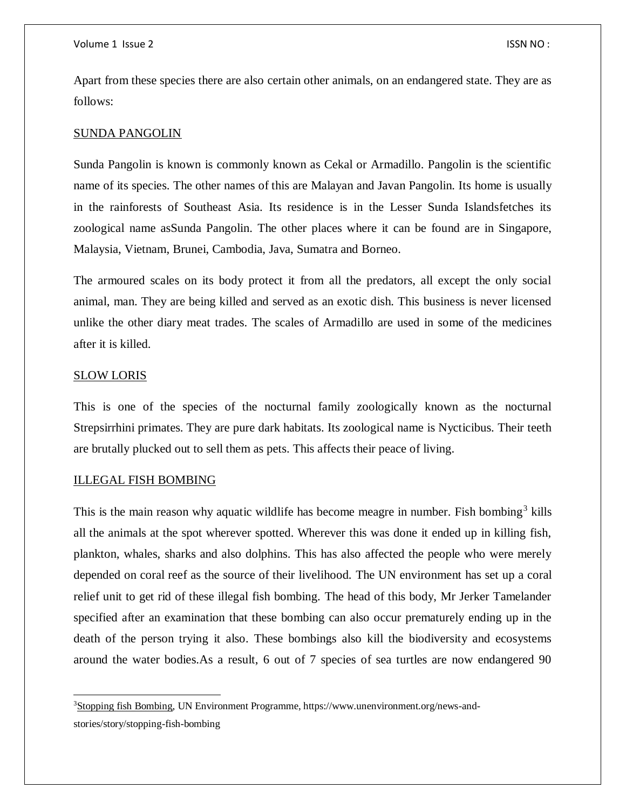Apart from these species there are also certain other animals, on an endangered state. They are as follows:

### SUNDA PANGOLIN

Sunda Pangolin is known is commonly known as Cekal or Armadillo. Pangolin is the scientific name of its species. The other names of this are Malayan and Javan Pangolin. Its home is usually in the rainforests of Southeast Asia. Its residence is in the Lesser Sunda Islandsfetches its zoological name asSunda Pangolin. The other places where it can be found are in Singapore, Malaysia, Vietnam, Brunei, Cambodia, Java, Sumatra and Borneo.

The armoured scales on its body protect it from all the predators, all except the only social animal, man. They are being killed and served as an exotic dish. This business is never licensed unlike the other diary meat trades. The scales of Armadillo are used in some of the medicines after it is killed.

#### SLOW LORIS

 $\overline{a}$ 

This is one of the species of the nocturnal family zoologically known as the nocturnal Strepsirrhini primates. They are pure dark habitats. Its zoological name is Nycticibus. Their teeth are brutally plucked out to sell them as pets. This affects their peace of living.

## ILLEGAL FISH BOMBING

This is the main reason why aquatic wildlife has become meagre in number. Fish bombing<sup>3</sup> kills all the animals at the spot wherever spotted. Wherever this was done it ended up in killing fish, plankton, whales, sharks and also dolphins. This has also affected the people who were merely depended on coral reef as the source of their livelihood. The UN environment has set up a coral relief unit to get rid of these illegal fish bombing. The head of this body, Mr Jerker Tamelander specified after an examination that these bombing can also occur prematurely ending up in the death of the person trying it also. These bombings also kill the biodiversity and ecosystems around the water bodies.As a result, 6 out of 7 species of sea turtles are now endangered 90

<sup>3</sup>Stopping fish Bombing, UN Environment Programme, https://www.unenvironment.org/news-andstories/story/stopping-fish-bombing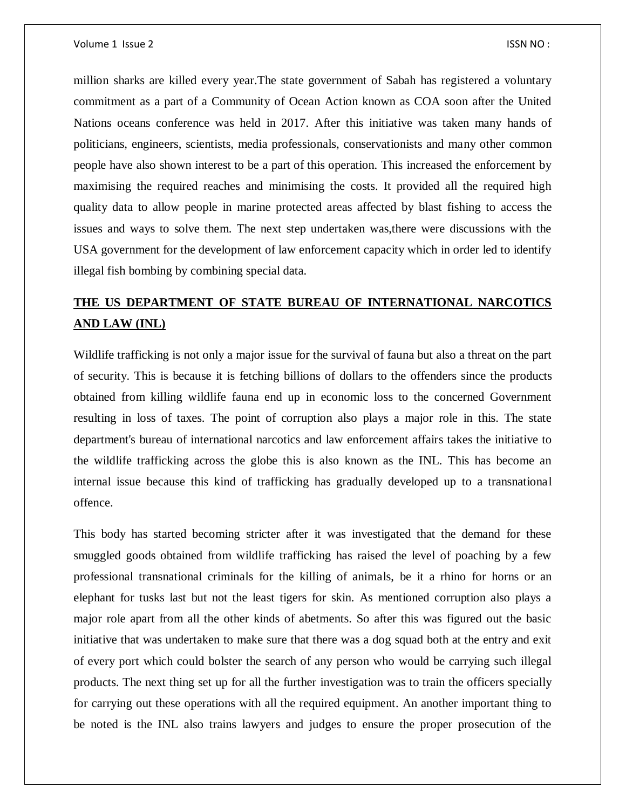million sharks are killed every year.The state government of Sabah has registered a voluntary commitment as a part of a Community of Ocean Action known as COA soon after the United Nations oceans conference was held in 2017. After this initiative was taken many hands of politicians, engineers, scientists, media professionals, conservationists and many other common people have also shown interest to be a part of this operation. This increased the enforcement by maximising the required reaches and minimising the costs. It provided all the required high quality data to allow people in marine protected areas affected by blast fishing to access the issues and ways to solve them. The next step undertaken was,there were discussions with the USA government for the development of law enforcement capacity which in order led to identify illegal fish bombing by combining special data.

# **THE US DEPARTMENT OF STATE BUREAU OF INTERNATIONAL NARCOTICS AND LAW (INL)**

Wildlife trafficking is not only a major issue for the survival of fauna but also a threat on the part of security. This is because it is fetching billions of dollars to the offenders since the products obtained from killing wildlife fauna end up in economic loss to the concerned Government resulting in loss of taxes. The point of corruption also plays a major role in this. The state department's bureau of international narcotics and law enforcement affairs takes the initiative to the wildlife trafficking across the globe this is also known as the INL. This has become an internal issue because this kind of trafficking has gradually developed up to a transnational offence.

This body has started becoming stricter after it was investigated that the demand for these smuggled goods obtained from wildlife trafficking has raised the level of poaching by a few professional transnational criminals for the killing of animals, be it a rhino for horns or an elephant for tusks last but not the least tigers for skin. As mentioned corruption also plays a major role apart from all the other kinds of abetments. So after this was figured out the basic initiative that was undertaken to make sure that there was a dog squad both at the entry and exit of every port which could bolster the search of any person who would be carrying such illegal products. The next thing set up for all the further investigation was to train the officers specially for carrying out these operations with all the required equipment. An another important thing to be noted is the INL also trains lawyers and judges to ensure the proper prosecution of the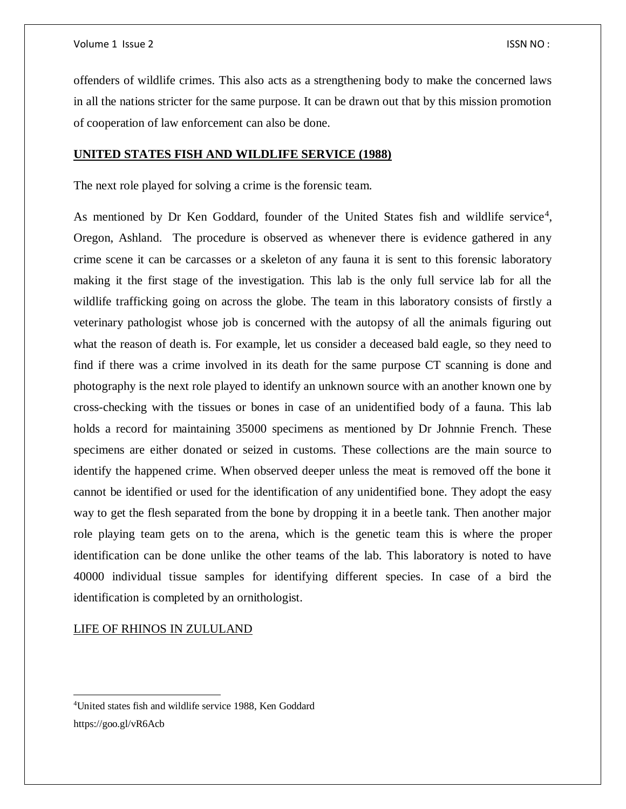offenders of wildlife crimes. This also acts as a strengthening body to make the concerned laws in all the nations stricter for the same purpose. It can be drawn out that by this mission promotion of cooperation of law enforcement can also be done.

# **UNITED STATES FISH AND WILDLIFE SERVICE (1988)**

The next role played for solving a crime is the forensic team.

As mentioned by Dr Ken Goddard, founder of the United States fish and wildlife service<sup>4</sup>, Oregon, Ashland. The procedure is observed as whenever there is evidence gathered in any crime scene it can be carcasses or a skeleton of any fauna it is sent to this forensic laboratory making it the first stage of the investigation. This lab is the only full service lab for all the wildlife trafficking going on across the globe. The team in this laboratory consists of firstly a veterinary pathologist whose job is concerned with the autopsy of all the animals figuring out what the reason of death is. For example, let us consider a deceased bald eagle, so they need to find if there was a crime involved in its death for the same purpose CT scanning is done and photography is the next role played to identify an unknown source with an another known one by cross-checking with the tissues or bones in case of an unidentified body of a fauna. This lab holds a record for maintaining 35000 specimens as mentioned by Dr Johnnie French. These specimens are either donated or seized in customs. These collections are the main source to identify the happened crime. When observed deeper unless the meat is removed off the bone it cannot be identified or used for the identification of any unidentified bone. They adopt the easy way to get the flesh separated from the bone by dropping it in a beetle tank. Then another major role playing team gets on to the arena, which is the genetic team this is where the proper identification can be done unlike the other teams of the lab. This laboratory is noted to have 40000 individual tissue samples for identifying different species. In case of a bird the identification is completed by an ornithologist.

LIFE OF RHINOS IN ZULULAND

 $\overline{a}$ 

<sup>4</sup>United states fish and wildlife service 1988, Ken Goddard https://goo.gl/vR6Acb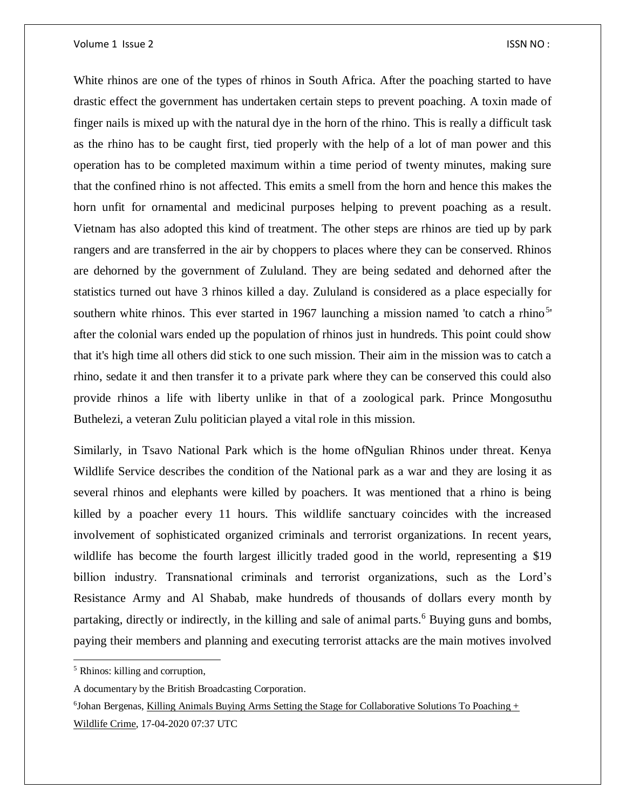White rhinos are one of the types of rhinos in South Africa. After the poaching started to have drastic effect the government has undertaken certain steps to prevent poaching. A toxin made of finger nails is mixed up with the natural dye in the horn of the rhino. This is really a difficult task as the rhino has to be caught first, tied properly with the help of a lot of man power and this operation has to be completed maximum within a time period of twenty minutes, making sure that the confined rhino is not affected. This emits a smell from the horn and hence this makes the horn unfit for ornamental and medicinal purposes helping to prevent poaching as a result. Vietnam has also adopted this kind of treatment. The other steps are rhinos are tied up by park rangers and are transferred in the air by choppers to places where they can be conserved. Rhinos are dehorned by the government of Zululand. They are being sedated and dehorned after the statistics turned out have 3 rhinos killed a day. Zululand is considered as a place especially for southern white rhinos. This ever started in 1967 launching a mission named 'to catch a rhino<sup>5</sup>' after the colonial wars ended up the population of rhinos just in hundreds. This point could show that it's high time all others did stick to one such mission. Their aim in the mission was to catch a rhino, sedate it and then transfer it to a private park where they can be conserved this could also provide rhinos a life with liberty unlike in that of a zoological park. Prince Mongosuthu Buthelezi, a veteran Zulu politician played a vital role in this mission.

Similarly, in Tsavo National Park which is the home ofNgulian Rhinos under threat. Kenya Wildlife Service describes the condition of the National park as a war and they are losing it as several rhinos and elephants were killed by poachers. It was mentioned that a rhino is being killed by a poacher every 11 hours. This wildlife sanctuary coincides with the increased involvement of sophisticated organized criminals and terrorist organizations. In recent years, wildlife has become the fourth largest illicitly traded good in the world, representing a \$19 billion industry. Transnational criminals and terrorist organizations, such as the Lord's Resistance Army and Al Shabab, make hundreds of thousands of dollars every month by partaking, directly or indirectly, in the killing and sale of animal parts.<sup>6</sup> Buying guns and bombs, paying their members and planning and executing terrorist attacks are the main motives involved

<sup>5</sup> Rhinos: killing and corruption,

A documentary by the British Broadcasting Corporation.

 $6$ Johan Bergenas, Killing Animals Buying Arms Setting the Stage for Collaborative Solutions To Poaching  $+$ Wildlife Crime, 17-04-2020 07:37 UTC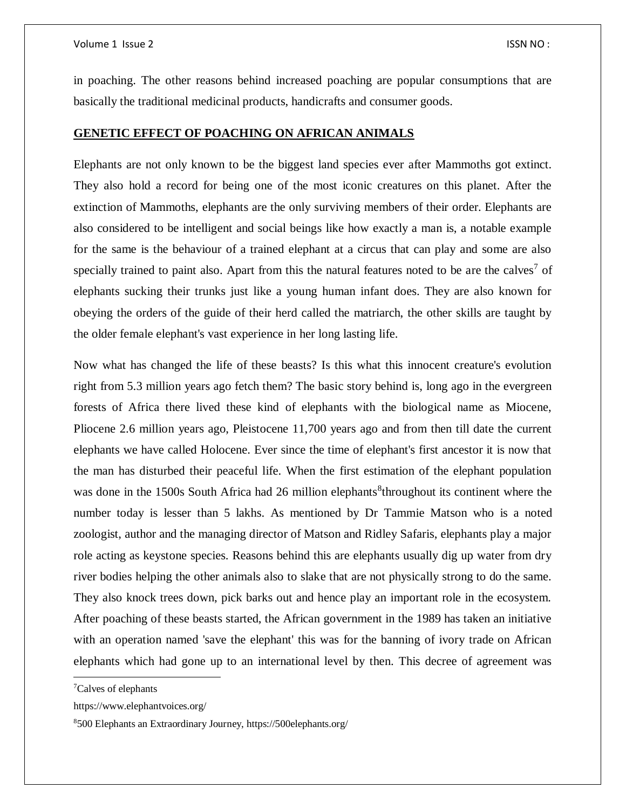in poaching. The other reasons behind increased poaching are popular consumptions that are basically the traditional medicinal products, handicrafts and consumer goods.

# **GENETIC EFFECT OF POACHING ON AFRICAN ANIMALS**

Elephants are not only known to be the biggest land species ever after Mammoths got extinct. They also hold a record for being one of the most iconic creatures on this planet. After the extinction of Mammoths, elephants are the only surviving members of their order. Elephants are also considered to be intelligent and social beings like how exactly a man is, a notable example for the same is the behaviour of a trained elephant at a circus that can play and some are also specially trained to paint also. Apart from this the natural features noted to be are the calves<sup>7</sup> of elephants sucking their trunks just like a young human infant does. They are also known for obeying the orders of the guide of their herd called the matriarch, the other skills are taught by the older female elephant's vast experience in her long lasting life.

Now what has changed the life of these beasts? Is this what this innocent creature's evolution right from 5.3 million years ago fetch them? The basic story behind is, long ago in the evergreen forests of Africa there lived these kind of elephants with the biological name as Miocene, Pliocene 2.6 million years ago, Pleistocene 11,700 years ago and from then till date the current elephants we have called Holocene. Ever since the time of elephant's first ancestor it is now that the man has disturbed their peaceful life. When the first estimation of the elephant population was done in the 1500s South Africa had 26 million elephants<sup>8</sup>throughout its continent where the number today is lesser than 5 lakhs. As mentioned by Dr Tammie Matson who is a noted zoologist, author and the managing director of Matson and Ridley Safaris, elephants play a major role acting as keystone species. Reasons behind this are elephants usually dig up water from dry river bodies helping the other animals also to slake that are not physically strong to do the same. They also knock trees down, pick barks out and hence play an important role in the ecosystem. After poaching of these beasts started, the African government in the 1989 has taken an initiative with an operation named 'save the elephant' this was for the banning of ivory trade on African elephants which had gone up to an international level by then. This decree of agreement was

 $\overline{\phantom{a}}$ 

<sup>7</sup>Calves of elephants

https://www.elephantvoices.org/

<sup>8</sup>500 Elephants an Extraordinary Journey, https://500elephants.org/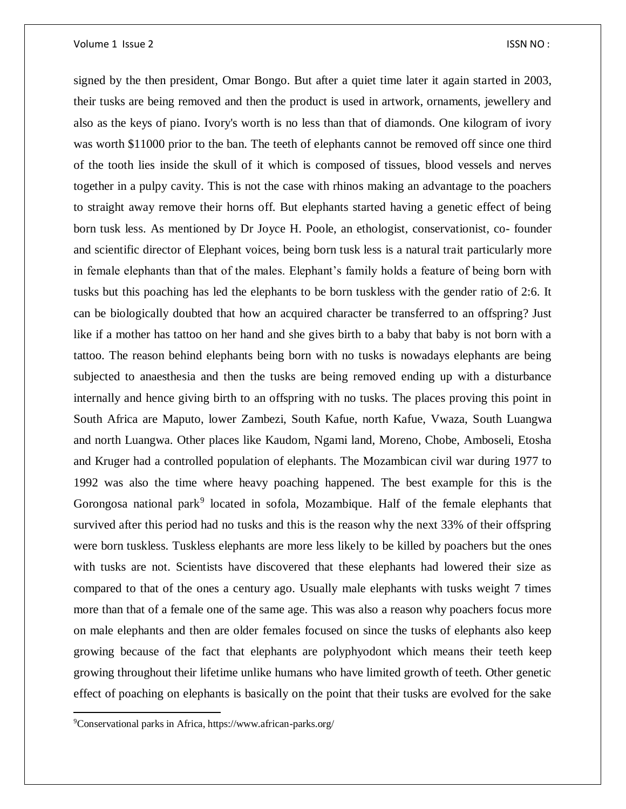signed by the then president, Omar Bongo. But after a quiet time later it again started in 2003, their tusks are being removed and then the product is used in artwork, ornaments, jewellery and also as the keys of piano. Ivory's worth is no less than that of diamonds. One kilogram of ivory was worth \$11000 prior to the ban. The teeth of elephants cannot be removed off since one third of the tooth lies inside the skull of it which is composed of tissues, blood vessels and nerves together in a pulpy cavity. This is not the case with rhinos making an advantage to the poachers to straight away remove their horns off. But elephants started having a genetic effect of being born tusk less. As mentioned by Dr Joyce H. Poole, an ethologist, conservationist, co- founder and scientific director of Elephant voices, being born tusk less is a natural trait particularly more in female elephants than that of the males. Elephant's family holds a feature of being born with tusks but this poaching has led the elephants to be born tuskless with the gender ratio of 2:6. It can be biologically doubted that how an acquired character be transferred to an offspring? Just like if a mother has tattoo on her hand and she gives birth to a baby that baby is not born with a tattoo. The reason behind elephants being born with no tusks is nowadays elephants are being subjected to anaesthesia and then the tusks are being removed ending up with a disturbance internally and hence giving birth to an offspring with no tusks. The places proving this point in South Africa are Maputo, lower Zambezi, South Kafue, north Kafue, Vwaza, South Luangwa and north Luangwa. Other places like Kaudom, Ngami land, Moreno, Chobe, Amboseli, Etosha and Kruger had a controlled population of elephants. The Mozambican civil war during 1977 to 1992 was also the time where heavy poaching happened. The best example for this is the Gorongosa national park<sup>9</sup> located in sofola, Mozambique. Half of the female elephants that survived after this period had no tusks and this is the reason why the next 33% of their offspring were born tuskless. Tuskless elephants are more less likely to be killed by poachers but the ones with tusks are not. Scientists have discovered that these elephants had lowered their size as compared to that of the ones a century ago. Usually male elephants with tusks weight 7 times more than that of a female one of the same age. This was also a reason why poachers focus more on male elephants and then are older females focused on since the tusks of elephants also keep growing because of the fact that elephants are polyphyodont which means their teeth keep growing throughout their lifetime unlike humans who have limited growth of teeth. Other genetic effect of poaching on elephants is basically on the point that their tusks are evolved for the sake

<sup>9</sup>Conservational parks in Africa, https://www.african-parks.org/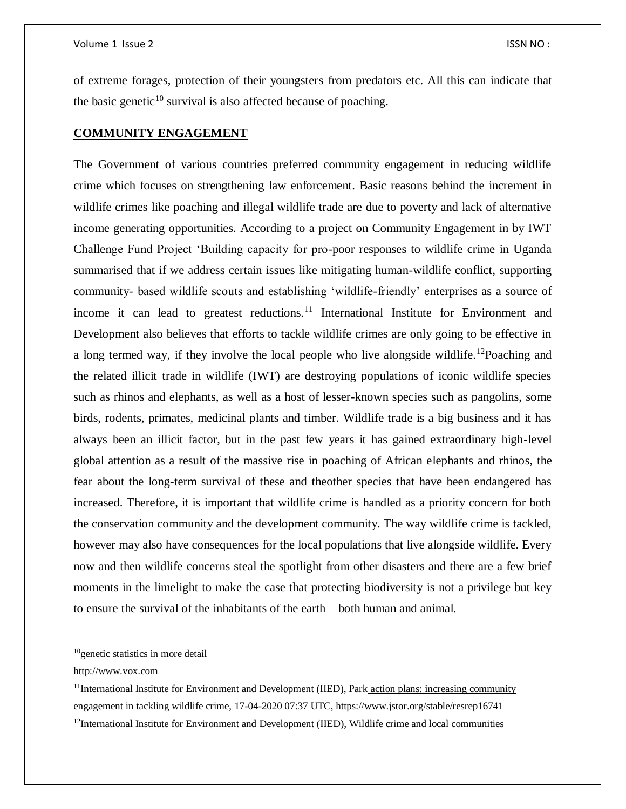of extreme forages, protection of their youngsters from predators etc. All this can indicate that the basic genetic $10$  survival is also affected because of poaching.

# **COMMUNITY ENGAGEMENT**

The Government of various countries preferred community engagement in reducing wildlife crime which focuses on strengthening law enforcement. Basic reasons behind the increment in wildlife crimes like poaching and illegal wildlife trade are due to poverty and lack of alternative income generating opportunities. According to a project on Community Engagement in by IWT Challenge Fund Project 'Building capacity for pro-poor responses to wildlife crime in Uganda summarised that if we address certain issues like mitigating human-wildlife conflict, supporting community- based wildlife scouts and establishing 'wildlife-friendly' enterprises as a source of income it can lead to greatest reductions.<sup>11</sup> International Institute for Environment and Development also believes that efforts to tackle wildlife crimes are only going to be effective in a long termed way, if they involve the local people who live alongside wildlife.<sup>12</sup>Poaching and the related illicit trade in wildlife (IWT) are destroying populations of iconic wildlife species such as rhinos and elephants, as well as a host of lesser-known species such as pangolins, some birds, rodents, primates, medicinal plants and timber. Wildlife trade is a big business and it has always been an illicit factor, but in the past few years it has gained extraordinary high-level global attention as a result of the massive rise in poaching of African elephants and rhinos, the fear about the long-term survival of these and theother species that have been endangered has increased. Therefore, it is important that wildlife crime is handled as a priority concern for both the conservation community and the development community. The way wildlife crime is tackled, however may also have consequences for the local populations that live alongside wildlife. Every now and then wildlife concerns steal the spotlight from other disasters and there are a few brief moments in the limelight to make the case that protecting biodiversity is not a privilege but key to ensure the survival of the inhabitants of the earth – both human and animal.

http://www.vox.com

<sup>10</sup>genetic statistics in more detail

 $11$ International Institute for Environment and Development (IIED), Park action plans: increasing community engagement in tackling wildlife crime, 17-04-2020 07:37 UTC, https://www.jstor.org/stable/resrep16741

 $12$ International Institute for Environment and Development (IIED), Wildlife crime and local communities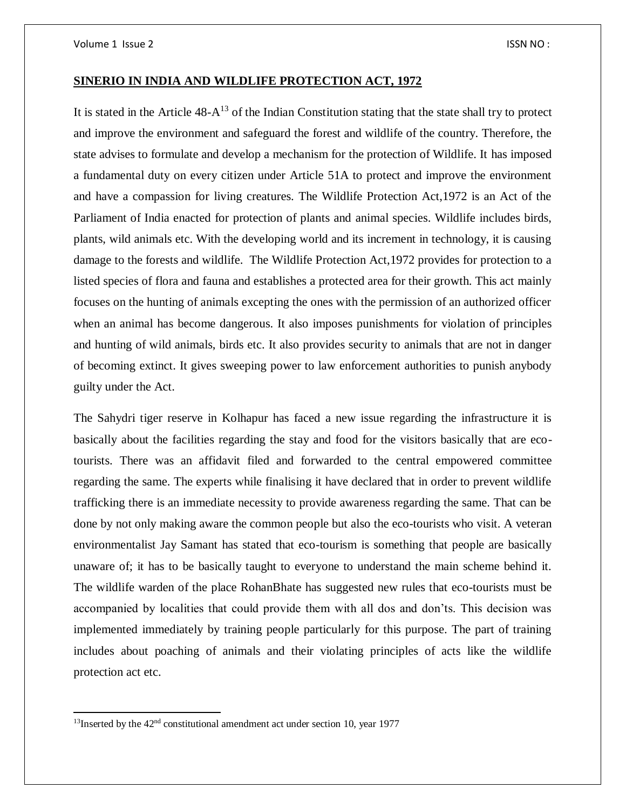# **SINERIO IN INDIA AND WILDLIFE PROTECTION ACT, 1972**

It is stated in the Article  $48-A^{13}$  of the Indian Constitution stating that the state shall try to protect and improve the environment and safeguard the forest and wildlife of the country. Therefore, the state advises to formulate and develop a mechanism for the protection of Wildlife. It has imposed a fundamental duty on every citizen under Article 51A to protect and improve the environment and have a compassion for living creatures. The Wildlife Protection Act,1972 is an Act of the Parliament of India enacted for protection of plants and animal species. Wildlife includes birds, plants, wild animals etc. With the developing world and its increment in technology, it is causing damage to the forests and wildlife. The Wildlife Protection Act,1972 provides for protection to a listed species of flora and fauna and establishes a protected area for their growth. This act mainly focuses on the hunting of animals excepting the ones with the permission of an authorized officer when an animal has become dangerous. It also imposes punishments for violation of principles and hunting of wild animals, birds etc. It also provides security to animals that are not in danger of becoming extinct. It gives sweeping power to law enforcement authorities to punish anybody guilty under the Act.

The Sahydri tiger reserve in Kolhapur has faced a new issue regarding the infrastructure it is basically about the facilities regarding the stay and food for the visitors basically that are ecotourists. There was an affidavit filed and forwarded to the central empowered committee regarding the same. The experts while finalising it have declared that in order to prevent wildlife trafficking there is an immediate necessity to provide awareness regarding the same. That can be done by not only making aware the common people but also the eco-tourists who visit. A veteran environmentalist Jay Samant has stated that eco-tourism is something that people are basically unaware of; it has to be basically taught to everyone to understand the main scheme behind it. The wildlife warden of the place RohanBhate has suggested new rules that eco-tourists must be accompanied by localities that could provide them with all dos and don'ts. This decision was implemented immediately by training people particularly for this purpose. The part of training includes about poaching of animals and their violating principles of acts like the wildlife protection act etc.

 $13$ Inserted by the  $42<sup>nd</sup>$  constitutional amendment act under section 10, year 1977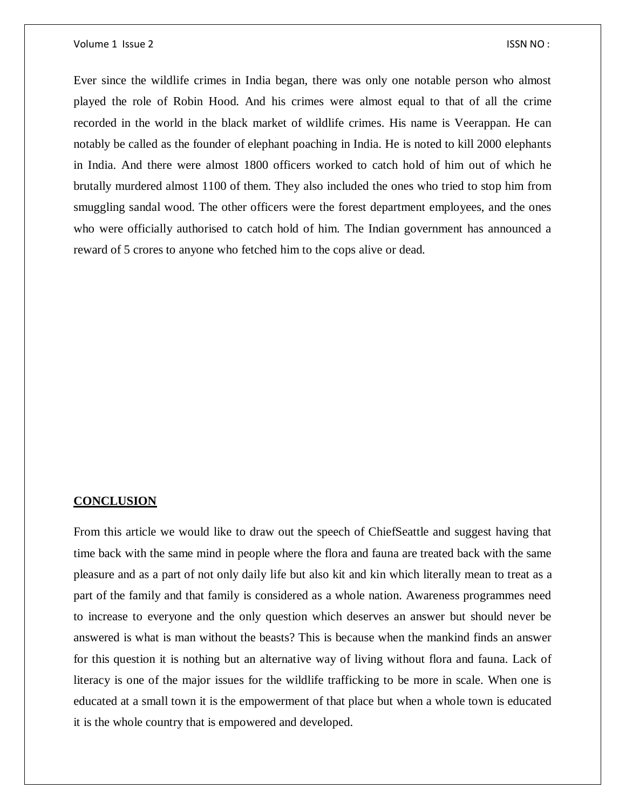Ever since the wildlife crimes in India began, there was only one notable person who almost played the role of Robin Hood. And his crimes were almost equal to that of all the crime recorded in the world in the black market of wildlife crimes. His name is Veerappan. He can notably be called as the founder of elephant poaching in India. He is noted to kill 2000 elephants in India. And there were almost 1800 officers worked to catch hold of him out of which he brutally murdered almost 1100 of them. They also included the ones who tried to stop him from smuggling sandal wood. The other officers were the forest department employees, and the ones who were officially authorised to catch hold of him. The Indian government has announced a reward of 5 crores to anyone who fetched him to the cops alive or dead.

#### **CONCLUSION**

From this article we would like to draw out the speech of ChiefSeattle and suggest having that time back with the same mind in people where the flora and fauna are treated back with the same pleasure and as a part of not only daily life but also kit and kin which literally mean to treat as a part of the family and that family is considered as a whole nation. Awareness programmes need to increase to everyone and the only question which deserves an answer but should never be answered is what is man without the beasts? This is because when the mankind finds an answer for this question it is nothing but an alternative way of living without flora and fauna. Lack of literacy is one of the major issues for the wildlife trafficking to be more in scale. When one is educated at a small town it is the empowerment of that place but when a whole town is educated it is the whole country that is empowered and developed.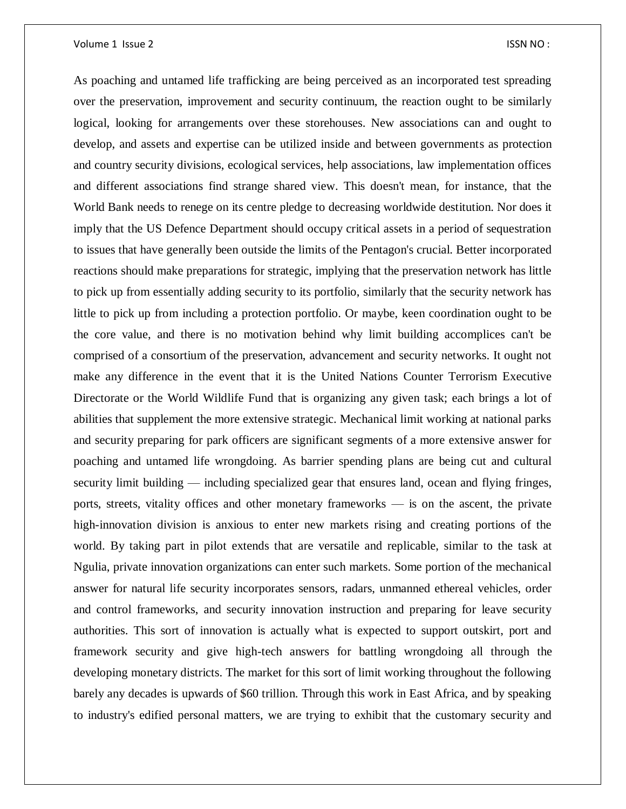As poaching and untamed life trafficking are being perceived as an incorporated test spreading over the preservation, improvement and security continuum, the reaction ought to be similarly logical, looking for arrangements over these storehouses. New associations can and ought to develop, and assets and expertise can be utilized inside and between governments as protection and country security divisions, ecological services, help associations, law implementation offices and different associations find strange shared view. This doesn't mean, for instance, that the World Bank needs to renege on its centre pledge to decreasing worldwide destitution. Nor does it imply that the US Defence Department should occupy critical assets in a period of sequestration to issues that have generally been outside the limits of the Pentagon's crucial. Better incorporated reactions should make preparations for strategic, implying that the preservation network has little to pick up from essentially adding security to its portfolio, similarly that the security network has little to pick up from including a protection portfolio. Or maybe, keen coordination ought to be the core value, and there is no motivation behind why limit building accomplices can't be comprised of a consortium of the preservation, advancement and security networks. It ought not make any difference in the event that it is the United Nations Counter Terrorism Executive Directorate or the World Wildlife Fund that is organizing any given task; each brings a lot of abilities that supplement the more extensive strategic. Mechanical limit working at national parks and security preparing for park officers are significant segments of a more extensive answer for poaching and untamed life wrongdoing. As barrier spending plans are being cut and cultural security limit building — including specialized gear that ensures land, ocean and flying fringes, ports, streets, vitality offices and other monetary frameworks — is on the ascent, the private high-innovation division is anxious to enter new markets rising and creating portions of the world. By taking part in pilot extends that are versatile and replicable, similar to the task at Ngulia, private innovation organizations can enter such markets. Some portion of the mechanical answer for natural life security incorporates sensors, radars, unmanned ethereal vehicles, order and control frameworks, and security innovation instruction and preparing for leave security authorities. This sort of innovation is actually what is expected to support outskirt, port and framework security and give high-tech answers for battling wrongdoing all through the developing monetary districts. The market for this sort of limit working throughout the following barely any decades is upwards of \$60 trillion. Through this work in East Africa, and by speaking to industry's edified personal matters, we are trying to exhibit that the customary security and